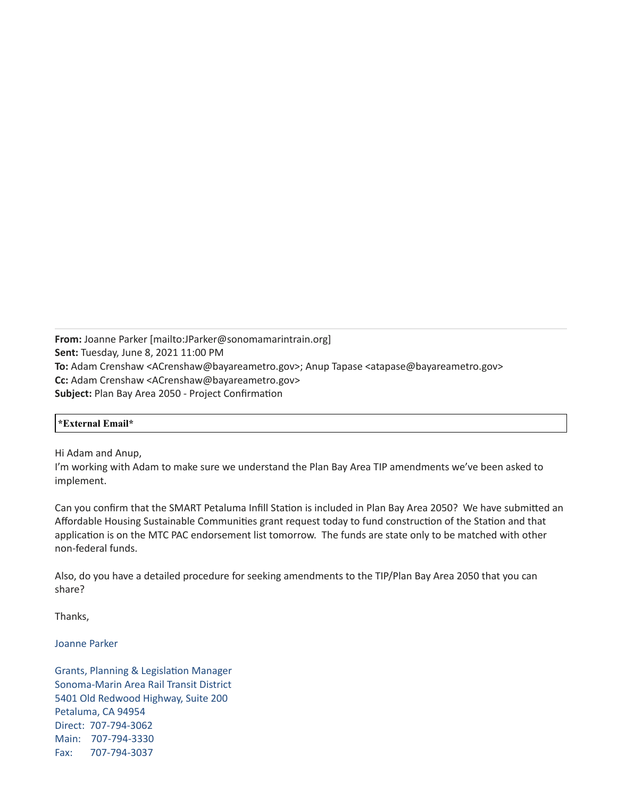**From:** Joanne Parker [mailto:JParker@sonomamarintrain.org] **Sent:** Tuesday, June 8, 2021 11:00 PM **To:** Adam Crenshaw <ACrenshaw@bayareametro.gov>; Anup Tapase <atapase@bayareametro.gov> **Cc:** Adam Crenshaw <ACrenshaw@bayareametro.gov> **Subject:** Plan Bay Area 2050 - Project Confirmation

## **\*External Email\***

Hi Adam and Anup,

I'm working with Adam to make sure we understand the Plan Bay Area TIP amendments we've been asked to implement.

Can you confirm that the SMART Petaluma Infill Station is included in Plan Bay Area 2050? We have submitted an Affordable Housing Sustainable Communities grant request today to fund construction of the Station and that application is on the MTC PAC endorsement list tomorrow. The funds are state only to be matched with other non-federal funds.

Also, do you have a detailed procedure for seeking amendments to the TIP/Plan Bay Area 2050 that you can share?

Thanks,

Joanne Parker

Grants, Planning & Legislation Manager Sonoma-Marin Area Rail Transit District 5401 Old Redwood Highway, Suite 200 Petaluma, CA 94954 Direct: 707-794-3062 Main: 707-794-3330 Fax: 707-794-3037